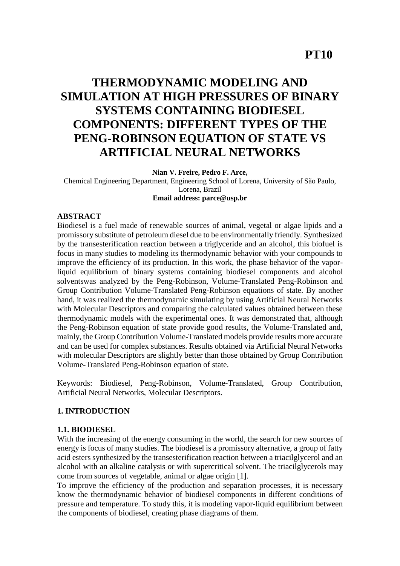## **PT10**

# **THERMODYNAMIC MODELING AND SIMULATION AT HIGH PRESSURES OF BINARY SYSTEMS CONTAINING BIODIESEL COMPONENTS: DIFFERENT TYPES OF THE PENG-ROBINSON EQUATION OF STATE VS ARTIFICIAL NEURAL NETWORKS**

**Nian V. Freire, Pedro F. Arce,** 

Chemical Engineering Department, Engineering School of Lorena, University of São Paulo, Lorena, Brazil **Email address: parce@usp.br**

#### **ABSTRACT**

Biodiesel is a fuel made of renewable sources of animal, vegetal or algae lipids and a promissory substitute of petroleum diesel due to be environmentally friendly. Synthesized by the transesterification reaction between a triglyceride and an alcohol, this biofuel is focus in many studies to modeling its thermodynamic behavior with your compounds to improve the efficiency of its production. In this work, the phase behavior of the vaporliquid equilibrium of binary systems containing biodiesel components and alcohol solventswas analyzed by the Peng-Robinson, Volume-Translated Peng-Robinson and Group Contribution Volume-Translated Peng-Robinson equations of state. By another hand, it was realized the thermodynamic simulating by using Artificial Neural Networks with Molecular Descriptors and comparing the calculated values obtained between these thermodynamic models with the experimental ones. It was demonstrated that, although the Peng-Robinson equation of state provide good results, the Volume-Translated and, mainly, the Group Contribution Volume-Translated models provide results more accurate and can be used for complex substances. Results obtained via Artificial Neural Networks with molecular Descriptors are slightly better than those obtained by Group Contribution Volume-Translated Peng-Robinson equation of state.

Keywords: Biodiesel, Peng-Robinson, Volume-Translated, Group Contribution, Artificial Neural Networks, Molecular Descriptors.

## **1. INTRODUCTION**

#### **1.1. BIODIESEL**

With the increasing of the energy consuming in the world, the search for new sources of energy is focus of many studies. The biodiesel is a promissory alternative, a group of fatty acid esters synthesized by the transesterification reaction between a triacilglycerol and an alcohol with an alkaline catalysis or with supercritical solvent. The triacilglycerols may come from sources of vegetable, animal or algae origin [1].

To improve the efficiency of the production and separation processes, it is necessary know the thermodynamic behavior of biodiesel components in different conditions of pressure and temperature. To study this, it is modeling vapor-liquid equilibrium between the components of biodiesel, creating phase diagrams of them.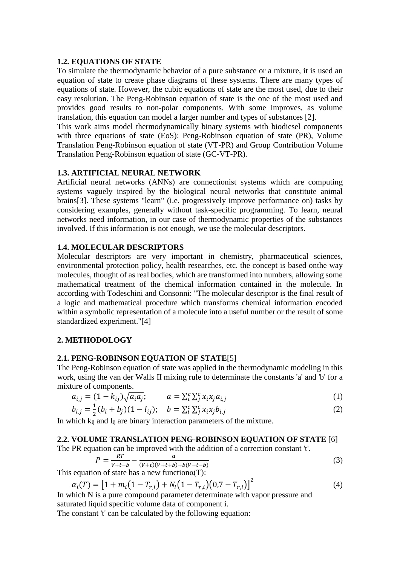#### **1.2. EQUATIONS OF STATE**

To simulate the thermodynamic behavior of a pure substance or a mixture, it is used an equation of state to create phase diagrams of these systems. There are many types of equations of state. However, the cubic equations of state are the most used, due to their easy resolution. The Peng-Robinson equation of state is the one of the most used and provides good results to non-polar components. With some improves, as volume translation, this equation can model a larger number and types of substances [2].

This work aims model thermodynamically binary systems with biodiesel components with three equations of state (EoS): Peng-Robinson equation of state (PR), Volume Translation Peng-Robinson equation of state (VT-PR) and Group Contribution Volume Translation Peng-Robinson equation of state (GC-VT-PR).

#### **1.3. ARTIFICIAL NEURAL NETWORK**

Artificial neural networks (ANNs) are connectionist systems which are computing systems vaguely inspired by the biological neural networks that constitute animal brains[3]. These systems "learn" (i.e. progressively improve performance on) tasks by considering examples, generally without task-specific programming. To learn, neural networks need information, in our case of thermodynamic properties of the substances involved. If this information is not enough, we use the molecular descriptors.

#### **1.4. MOLECULAR DESCRIPTORS**

Molecular descriptors are very important in chemistry, pharmaceutical sciences, environmental protection policy, health researches, etc. the concept is based onthe way molecules, thought of as real bodies, which are transformed into numbers, allowing some mathematical treatment of the chemical information contained in the molecule. In according with Todeschini and Consonni: "The molecular descriptor is the final result of a logic and mathematical procedure which transforms chemical information encoded within a symbolic representation of a molecule into a useful number or the result of some standardized experiment."[4]

#### **2. METHODOLOGY**

#### **2.1. PENG-ROBINSON EQUATION OF STATE**[5]

The Peng-Robinson equation of state was applied in the thermodynamic modeling in this work, using the van der Walls II mixing rule to determinate the constants 'a' and 'b' for a mixture of components.

$$
a_{i,j} = (1 - k_{ij})\sqrt{a_i a_j}; \qquad a = \sum_{i}^{c} \sum_{j}^{c} x_i x_j a_{i,j}
$$
 (1)

$$
b_{i,j} = \frac{1}{2}(b_i + b_j)(1 - l_{ij}); \quad b = \sum_{i}^{c} \sum_{j}^{c} x_i x_j b_{i,j}
$$
 (2)

In which k<sub>ij</sub> and l<sub>ij</sub> are binary interaction parameters of the mixture.

#### **2.2. VOLUME TRANSLATION PENG-ROBINSON EQUATION OF STATE** [6]

The PR equation can be improved with the addition of a correction constant 't'.

$$
P = \frac{RT}{V + t - b} - \frac{a}{(V + t)(V + t + b) + b(V + t - b)}
$$
(3)

This equation of state has a new function $\alpha(T)$ :

$$
\alpha_i(T) = \left[1 + m_i\left(1 - T_{r,i}\right) + N_i\left(1 - T_{r,i}\right)\left(0, 7 - T_{r,i}\right)\right]^2\tag{4}
$$

In which N is a pure compound parameter determinate with vapor pressure and saturated liquid specific volume data of component i.

The constant 't' can be calculated by the following equation: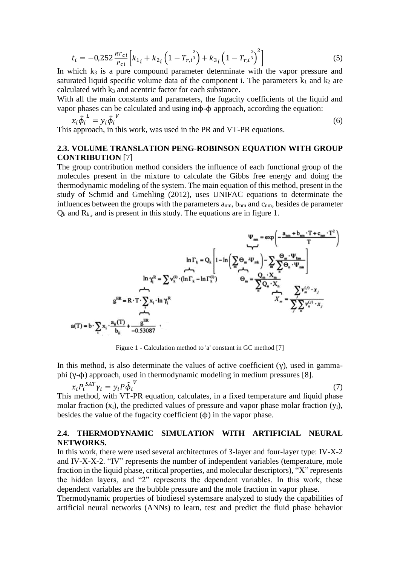$$
t_{i} = -0.252 \frac{R T_{c,i}}{P_{c,i}} \left[ k_{1_{i}} + k_{2_{i}} \left( 1 - T_{r,i}^{\frac{2}{3}} \right) + k_{3_{i}} \left( 1 - T_{r,i}^{\frac{2}{3}} \right)^{2} \right]
$$
 (5)

In which  $k_3$  is a pure compound parameter determinate with the vapor pressure and saturated liquid specific volume data of the component i. The parameters  $k_1$  and  $k_2$  are calculated with k<sup>3</sup> and acentric factor for each substance.

With all the main constants and parameters, the fugacity coefficients of the liquid and vapor phases can be calculated and using inϕ-ϕ approach, according the equation:

$$
x_i \hat{\phi}_i^L = y_i \hat{\phi}_i^V \tag{6}
$$

This approach, in this work, was used in the PR and VT-PR equations.

#### **2.3. VOLUME TRANSLATION PENG-ROBINSON EQUATION WITH GROUP CONTRIBUTION** [7]

The group contribution method considers the influence of each functional group of the molecules present in the mixture to calculate the Gibbs free energy and doing the thermodynamic modeling of the system. The main equation of this method, present in the study of Schmid and Gmehling (2012), uses UNIFAC equations to determinate the influences between the groups with the parameters  $a_{nm}$ ,  $b_{nm}$  and  $c_{nm}$ , besides de parameter  $Q_k$  and  $R_k$ , and is present in this study. The equations are in figure 1.

$$
\Psi_{mn} = \exp\left(-\frac{a_{nm} + b_{nm} \cdot T + c_{nm} \cdot T^2}{T}\right)
$$
\n
$$
\ln \Gamma_k = Q_k \left[1 - \ln\left(\sum_{m} \Theta_m \Psi_{mk}\right) - \sum_{m} \frac{\Theta_m \cdot \Psi_{km}}{\sum_{m} \Theta_n \cdot \Psi_{mn}}\right]
$$
\n
$$
\ln \gamma_k^R = \sum_{k} \nu_k^{(i)} \cdot (\ln \Gamma_k - \ln \Gamma_k^{(i)})
$$
\n
$$
\Theta_m = \frac{Q_m \cdot X_m}{\sum_{m} Q_n \cdot X_n}
$$
\n
$$
g^{ER} = R \cdot T \cdot \sum_{i} x_i \cdot \ln \gamma_i^R
$$
\n
$$
a(T) = b \cdot \sum_{k} x_i \cdot \frac{a_{ii}(T)}{b_{ii}} + \frac{g^{ER}}{-0.53087}
$$

Figure 1 - Calculation method to 'a' constant in GC method [7]

In this method, is also determinate the values of active coefficient (γ), used in gammaphi (γ-ϕ) approach, used in thermodynamic modeling in medium pressures [8].

$$
x_i P_i^{SAT} \gamma_i = y_i P \hat{\phi}_i^V \tag{7}
$$

This method, with VT-PR equation, calculates, in a fixed temperature and liquid phase molar fraction  $(x_i)$ , the predicted values of pressure and vapor phase molar fraction  $(y_i)$ , besides the value of the fugacity coefficient  $(\phi)$  in the vapor phase.

## **2.4. THERMODYNAMIC SIMULATION WITH ARTIFICIAL NEURAL NETWORKS.**

In this work, there were used several architectures of 3-layer and four-layer type: IV-X-2 and IV-X-X-2. "IV" represents the number of independent variables (temperature, mole fraction in the liquid phase, critical properties, and molecular descriptors), "X" represents the hidden layers, and "2" represents the dependent variables. In this work, these dependent variables are the bubble pressure and the mole fraction in vapor phase.

Thermodynamic properties of biodiesel systemsare analyzed to study the capabilities of artificial neural networks (ANNs) to learn, test and predict the fluid phase behavior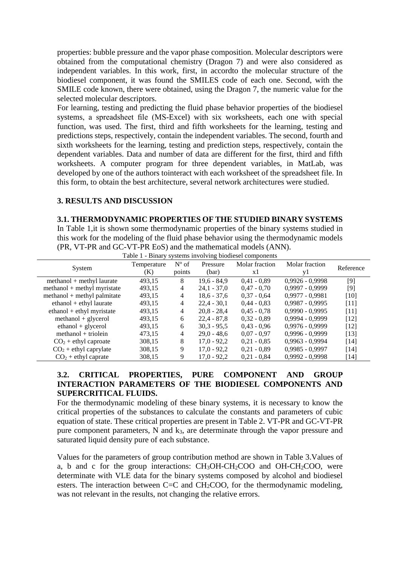properties: bubble pressure and the vapor phase composition. Molecular descriptors were obtained from the computational chemistry (Dragon 7) and were also considered as independent variables. In this work, first, in accordto the molecular structure of the biodiesel component, it was found the SMILES code of each one. Second, with the SMILE code known, there were obtained, using the Dragon 7, the numeric value for the selected molecular descriptors.

For learning, testing and predicting the fluid phase behavior properties of the biodiesel systems, a spreadsheet file (MS-Excel) with six worksheets, each one with special function, was used. The first, third and fifth worksheets for the learning, testing and predictions steps, respectively, contain the independent variables. The second, fourth and sixth worksheets for the learning, testing and prediction steps, respectively, contain the dependent variables. Data and number of data are different for the first, third and fifth worksheets. A computer program for three dependent variables, in MatLab, was developed by one of the authors tointeract with each worksheet of the spreadsheet file. In this form, to obtain the best architecture, several network architectures were studied.

#### **3. RESULTS AND DISCUSSION**

**3.1. THERMODYNAMIC PROPERTIES OF THE STUDIED BINARY SYSTEMS** In Table 1,it is shown some thermodynamic properties of the binary systems studied in this work for the modeling of the fluid phase behavior using the thermodynamic models (PR, VT-PR and GC-VT-PR EoS) and the mathematical models (ANN).

| System                        | Temperature<br>(K) | $N^{\circ}$ of<br>points | Pressure<br>(bar) | Molar fraction<br>x1 | Molar fraction<br>y1 | Reference |
|-------------------------------|--------------------|--------------------------|-------------------|----------------------|----------------------|-----------|
| $method + methyl laure$       | 493,15             | 8                        | $19.6 - 84.9$     | $0.41 - 0.89$        | $0,9926 - 0,9998$    | $[9]$     |
| $method + methyl myristate$   | 493,15             | 4                        | $24,1 - 37,0$     | $0.47 - 0.70$        | $0,9997 - 0,9999$    | $[9]$     |
| $method + methyl \ palmitate$ | 493,15             | 4                        | $18,6 - 37,6$     | $0.37 - 0.64$        | $0,9977 - 0,9981$    | [10]      |
| $ethanol + ethyl laure$       | 493,15             | 4                        | $22,4 - 30,1$     | $0,44 - 0,83$        | $0,9987 - 0,9995$    | $[11]$    |
| $ethanol + ethyl$ myristate   | 493,15             | 4                        | $20,8 - 28,4$     | $0.45 - 0.78$        | $0.9990 - 0.9995$    | [11]      |
| $method + glycerol$           | 493,15             | 6                        | $22.4 - 87.8$     | $0,32 - 0,89$        | $0.9994 - 0.9999$    | [12]      |
| $ethanol + glycerol$          | 493,15             | 6                        | $30.3 - 95.5$     | $0.43 - 0.96$        | $0,9976 - 0,9999$    | [12]      |
| $method + triolein$           | 473.15             | 4                        | $29.0 - 48.6$     | $0.07 - 0.97$        | $0.9996 - 0.9999$    | $[13]$    |
| $CO2 + ethyl$ caproate        | 308,15             | 8                        | $17,0 - 92,2$     | $0,21 - 0,85$        | $0,9963 - 0,9994$    | [14]      |
| $CO2 + ethyl$ caprylate       | 308,15             | 9                        | $17,0 - 92,2$     | $0,21 - 0,89$        | $0,9985 - 0,9997$    | $[14]$    |
| $CO2 + ethyl$ caprate         | 308,15             | 9                        | $17,0 - 92,2$     | $0.21 - 0.84$        | $0.9992 - 0.9998$    | [14]      |

Table 1 - Binary systems involving biodiesel components

## **3.2. CRITICAL PROPERTIES, PURE COMPONENT AND GROUP INTERACTION PARAMETERS OF THE BIODIESEL COMPONENTS AND SUPERCRITICAL FLUIDS.**

For the thermodynamic modeling of these binary systems, it is necessary to know the critical properties of the substances to calculate the constants and parameters of cubic equation of state. These critical properties are present in Table 2. VT-PR and GC-VT-PR pure component parameters, N and k3, are determinate through the vapor pressure and saturated liquid density pure of each substance.

Values for the parameters of group contribution method are shown in Table 3.Values of a, b and c for the group interactions:  $CH<sub>3</sub>OH-CH<sub>2</sub>COO$  and  $OH-CH<sub>2</sub>COO$ , were determinate with VLE data for the binary systems composed by alcohol and biodiesel esters. The interaction between  $C=C$  and  $CH<sub>2</sub>COO$ , for the thermodynamic modeling, was not relevant in the results, not changing the relative errors.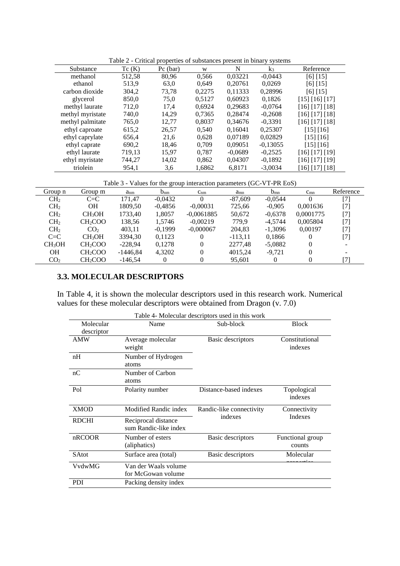| Substance        | Tc(K)  | $Pc$ (bar) | W      | N         | $k_3$      | Reference      |
|------------------|--------|------------|--------|-----------|------------|----------------|
| methanol         | 512,58 | 80,96      | 0.566  | 0.03221   | $-0,0443$  | [6] [15]       |
| ethanol          | 513.9  | 63,0       | 0.649  | 0,20761   | 0,0269     | [6] [15]       |
| carbon dioxide   | 304,2  | 73,78      | 0.2275 | 0,11333   | 0,28996    | [6] [15]       |
| glycerol         | 850,0  | 75,0       | 0,5127 | 0,60923   | 0,1826     | [15] [16] [17] |
| methyl laurate   | 712,0  | 17,4       | 0,6924 | 0,29683   | $-0.0764$  | [16] [17] [18] |
| methyl myristate | 740,0  | 14,29      | 0,7365 | 0.28474   | $-0,2608$  | [16] [17] [18] |
| methyl palmitate | 765,0  | 12,77      | 0,8037 | 0.34676   | $-0.3391$  | [16] [17] [18] |
| ethyl caproate   | 615,2  | 26,57      | 0.540  | 0.16041   | 0,25307    | [15] [16]      |
| ethyl caprylate  | 656,4  | 21,6       | 0.628  | 0.07189   | 0,02829    | [15] [16]      |
| ethyl caprate    | 690,2  | 18,46      | 0.709  | 0,09051   | $-0.13055$ | [15] [16]      |
| ethyl laurate    | 719,13 | 15.97      | 0.787  | $-0.0689$ | $-0.2525$  | [16] [17] [19] |
| ethyl myristate  | 744,27 | 14,02      | 0,862  | 0,04307   | $-0,1892$  | [16] [17] [19] |
| triolein         | 954,1  | 3,6        | 1,6862 | 6,8171    | $-3,0034$  | [16] [17] [18] |

Table 2 - Critical properties of substances present in binary systems

Table 3 - Values for the group interaction parameters (GC-VT-PR EoS)

| Group n            | Group m             | $a_{nm}$   | ີ້<br>$b_{nm}$ | $c_{nm}$     | $a_{mn}$  | $b_{mn}$  | $c_{mn}$  | Reference                |
|--------------------|---------------------|------------|----------------|--------------|-----------|-----------|-----------|--------------------------|
| CH <sub>2</sub>    | $C = C$             | 171.47     | $-0.0432$      | $\Omega$     | $-87,609$ | $-0.0544$ | $\Omega$  | $[7]$                    |
| CH <sub>2</sub>    | <b>OH</b>           | 1809,50    | $-0.4856$      | $-0.00031$   | 725,66    | $-0.905$  | 0.001636  | [7]                      |
| CH <sub>2</sub>    | CH <sub>3</sub> OH  | 1733,40    | 1.8057         | $-0.0061885$ | 50,672    | $-0,6378$ | 0.0001775 | [7]                      |
| CH <sub>2</sub>    | CH <sub>2</sub> COO | 138,56     | 1.5746         | $-0.00219$   | 779.9     | $-4.5744$ | 0.005804  | [7]                      |
| CH <sub>2</sub>    | CO <sub>2</sub>     | 403.11     | $-0.1999$      | $-0.000067$  | 204.83    | $-1.3096$ | 0.00197   | [7]                      |
| $C = C$            | CH <sub>3</sub> OH  | 3394.30    | 0.1123         |              | $-113.11$ | 0.1866    |           | $[7]$                    |
| CH <sub>3</sub> OH | CH <sub>2</sub> COO | $-228.94$  | 0.1278         | 0            | 2277.48   | $-5,0882$ | 0         | $\overline{\phantom{a}}$ |
| <b>OH</b>          | CH <sub>2</sub> COO | $-1446,84$ | 4,3202         | 0            | 4015,24   | $-9,721$  | 0         |                          |
| CO <sub>2</sub>    | CH <sub>2</sub> COO | $-146.54$  | $_{0}$         |              | 95,601    | $\Omega$  |           | [7]                      |

## **3.3. MOLECULAR DESCRIPTORS**

In Table 4, it is shown the molecular descriptors used in this research work. Numerical values for these molecular descriptors were obtained from Dragon (v. 7.0)

|              |                       | Table 4- Molecular descriptors used in this work |                  |
|--------------|-----------------------|--------------------------------------------------|------------------|
| Molecular    | Name                  | Sub-block                                        | <b>Block</b>     |
| descriptor   |                       |                                                  |                  |
| <b>AMW</b>   | Average molecular     | <b>Basic descriptors</b>                         | Constitutional   |
|              | weight                |                                                  | indexes          |
| nH           | Number of Hydrogen    |                                                  |                  |
|              | atoms                 |                                                  |                  |
| nC           | Number of Carbon      |                                                  |                  |
|              | atoms                 |                                                  |                  |
| Pol          | Polarity number       | Distance-based indexes                           | Topological      |
|              |                       |                                                  | indexes          |
| <b>XMOD</b>  | Modified Randic index | Randic-like connectivity                         | Connectivity     |
|              |                       | indexes                                          | <b>Indexes</b>   |
| <b>RDCHI</b> | Reciprocal distance   |                                                  |                  |
|              | sum Randic-like index |                                                  |                  |
| nRCOOR       | Number of esters      | <b>Basic descriptors</b>                         | Functional group |
|              | (aliphatics)          |                                                  | counts           |
| <b>SAtot</b> | Surface area (total)  | Basic descriptors                                | Molecular        |
| VvdwMG       | Van der Waals volume  |                                                  |                  |
|              | for McGowan volume    |                                                  |                  |
| <b>PDI</b>   | Packing density index |                                                  |                  |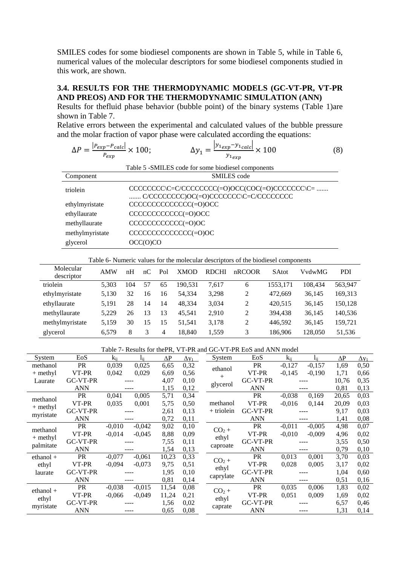SMILES codes for some biodiesel components are shown in Table 5, while in Table 6, numerical values of the molecular descriptors for some biodiesel components studied in this work, are shown.

## **3.4. RESULTS FOR THE THERMODYNAMIC MODELS (GC-VT-PR, VT-PR AND PREOS) AND FOR THE THERMODYNAMIC SIMULATION (ANN)**

Results for thefluid phase behavior (bubble point) of the binary systems (Table 1)are shown in Table 7.

Relative errors between the experimental and calculated values of the bubble pressure and the molar fraction of vapor phase were calculated according the equations:

| $\Delta P = \frac{ P_{exp} - P_{calc} }{P_{exp}} \times 100;$ | $\frac{ y_{1exp}-y_{1calc} }{y_{1exp}} \times 100$                                                  | (8) |
|---------------------------------------------------------------|-----------------------------------------------------------------------------------------------------|-----|
|                                                               | Table 5 -SMILES code for some biodiesel components                                                  |     |
| Component                                                     | <b>SMILES</b> code                                                                                  |     |
| triolein                                                      | $CCCCCCC\\C=C/CCCCCCCCCCC = 0)OCC(COC(=0)CCCCCCCCC)C = $<br>C/CCCCCCCCO()OC(=0)CCCCCCC(C=C/CCCCCCCC |     |
| ethylmyristate                                                | CCCCCCCCCCCCC(=0)OCC                                                                                |     |
| ethyllaurate                                                  | CCCCCCCCCCC(=0)OCC                                                                                  |     |
| methyllaurate                                                 | CCCCCCCCCCC(=0)OC                                                                                   |     |
| methylmyristate                                               | CCCCCCCCCCCCC(=0)OC                                                                                 |     |
| glycerol                                                      | OCC(0)CO                                                                                            |     |

|  |  |  | Table 6- Numeric values for the molecular descriptors of the biodiesel components |  |  |  |
|--|--|--|-----------------------------------------------------------------------------------|--|--|--|
|  |  |  |                                                                                   |  |  |  |

| Molecular<br>descriptor | <b>AMW</b> | nH  | nC | Pol | <b>XMOD</b> | <b>RDCHI</b> | nRCOOR | <b>SAtot</b> | VvdwMG  | <b>PDI</b> |
|-------------------------|------------|-----|----|-----|-------------|--------------|--------|--------------|---------|------------|
| triolein                | 5.303      | 104 | 57 | 65  | 190.531     | 7.617        | 6      | 1553.171     | 108.434 | 563.947    |
| ethylmyristate          | 5.130      | 32  | 16 | 16  | 54.334      | 3,298        | 2      | 472.669      | 36.145  | 169,313    |
| ethyllaurate            | 5.191      | 28  | 14 | 14  | 48.334      | 3.034        | 2      | 420,515      | 36.145  | 150.128    |
| methyllaurate           | 5.229      | 26  | 13 | 13  | 45.541      | 2.910        | 2      | 394,438      | 36.145  | 140,536    |
| methylmyristate         | 5.159      | 30  | 15 | 15  | 51.541      | 3.178        | 2      | 446.592      | 36.145  | 159.721    |
| glycerol                | 6.579      | 8   | 3  | 4   | 18.840      | 1.559        | 3      | 186,906      | 128,050 | 51,536     |

| Table 7- Results for the PR, VT-PR and GC-VT-PR EoS and ANN model |  |
|-------------------------------------------------------------------|--|
|-------------------------------------------------------------------|--|

| System      | EoS             | $k_{ii}$ | lii      | ΔΡ    | $\Delta$ V <sub>1</sub> | System       | EoS             | $k_{ii}$ | $\mathbf{l}_{\rm ii}$ | $\Delta P$ | $\Delta y_1$ |
|-------------|-----------------|----------|----------|-------|-------------------------|--------------|-----------------|----------|-----------------------|------------|--------------|
| methanol    | PR              | 0,039    | 0,025    | 6,65  | 0,32                    | ethanol      | PR              | $-0,127$ | $-0,157$              | 1,69       | 0,50         |
| $+$ methyl  | VT-PR           | 0,042    | 0,029    | 6,69  | 0,56                    | $+$          | VT-PR           | $-0,145$ | $-0,190$              | 1,71       | 0,66         |
| Laurate     | <b>GC-VT-PR</b> |          |          | 4,07  | 0,10                    |              | GC-VT-PR        |          |                       | 10,76      | 0,35         |
|             | <b>ANN</b>      |          |          | 1,15  | 0,12                    | glycerol     | <b>ANN</b>      |          |                       | 0,81       | 0,13         |
| methanol    | <b>PR</b>       | 0,041    | 0,005    | 5,71  | 0,34                    |              | PR              | $-0,038$ | 0,169                 | 20,65      | 0,03         |
|             | VT-PR           | 0,035    | 0,001    | 5,75  | 0,50                    | methanol     | VT-PR           | $-0,016$ | 0,144                 | 20,09      | 0,03         |
| $+$ methyl  | GC-VT-PR        |          |          | 2,61  | 0,13                    | $+$ triolein | GC-VT-PR        |          |                       | 9,17       | 0,03         |
| myristate   | <b>ANN</b>      |          | ----     | 0,72  | 0,11                    |              | <b>ANN</b>      |          | ----                  | 1,41       | 0,08         |
| methanol    | PR              | $-0,010$ | $-0,042$ | 9,02  | 0,10                    | $CO2 +$      | PR              | $-0,011$ | $-0,005$              | 4,98       | 0,07         |
|             | VT-PR           | $-0,014$ | $-0,045$ | 8,88  | 0,09                    |              | VT-PR           | $-0,010$ | $-0,009$              | 4,96       | 0,02         |
| $+$ methyl  | <b>GC-VT-PR</b> |          |          | 7,55  | 0,11                    | ethyl        | <b>GC-VT-PR</b> |          |                       | 3,55       | 0,50         |
| palmitate   | <b>ANN</b>      |          |          | 1,54  | 0,13                    | caproate     | <b>ANN</b>      |          |                       | 0,79       | 0,10         |
| $ethanol +$ | <b>PR</b>       | $-0,077$ | $-0,061$ | 10,23 | 0,33                    | $CO2 +$      | <b>PR</b>       | 0,013    | 0,001                 | 3,70       | 0,03         |
| ethyl       | VT-PR           | $-0,094$ | $-0.073$ | 9,75  | 0,51                    | ethyl        | VT-PR           | 0,028    | 0,005                 | 3,17       | 0,02         |
| laurate     | GC-VT-PR        |          |          | 1,95  | 0,10                    |              | GC-VT-PR        |          |                       | 1,04       | 0,60         |
|             | ANN             |          |          | 0,81  | 0,14                    | caprylate    | <b>ANN</b>      |          |                       | 0,51       | 0,16         |
| $ethanol +$ | PR              | $-0,038$ | $-0,015$ | 11,54 | 0,08                    | $CO2 +$      | PR              | 0,035    | 0,006                 | 1,83       | 0,02         |
|             | VT-PR           | $-0.066$ | $-0,049$ | 11,24 | 0,21                    | ethyl        | VT-PR           | 0,051    | 0,009                 | 1,69       | 0,02         |
| ethyl       | GC-VT-PR        |          |          | 1,56  | 0,02                    |              | GC-VT-PR        |          |                       | 6,57       | 0,46         |
| myristate   | <b>ANN</b>      |          |          | 0,65  | 0,08                    | caprate      | <b>ANN</b>      |          |                       | 1,31       | 0,14         |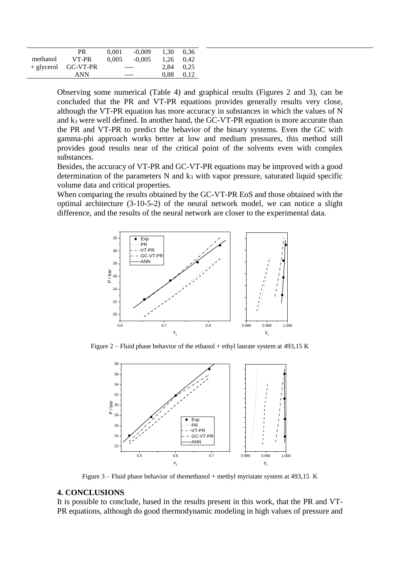|              | PR       | 0.001 | $-0.009$ | 1.30 | 0.36 |
|--------------|----------|-------|----------|------|------|
| methanol     | VT-PR    | 0.005 | $-0.005$ | 1.26 | 0.42 |
| $+$ glycerol | GC-VT-PR |       | ----     | 2.84 | 0.25 |
|              | ANN      |       | ----     | 0.88 | 0.12 |

Observing some numerical (Table 4) and graphical results (Figures 2 and 3), can be concluded that the PR and VT-PR equations provides generally results very close, although the VT-PR equation has more accuracy in substances in which the values of N and k<sup>3</sup> were well defined. In another hand, the GC-VT-PR equation is more accurate than the PR and VT-PR to predict the behavior of the binary systems. Even the GC with gamma-phi approach works better at low and medium pressures, this method still provides good results near of the critical point of the solvents even with complex substances.

Besides, the accuracy of VT-PR and GC-VT-PR equations may be improved with a good determination of the parameters  $N$  and  $k_3$  with vapor pressure, saturated liquid specific volume data and critical properties.

When comparing the results obtained by the GC-VT-PR EoS and those obtained with the optimal architecture (3-10-5-2) of the neural network model, we can notice a slight difference, and the results of the neural network are closer to the experimental data.



Figure 2 – Fluid phase behavior of the ethanol + ethyl laurate system at 493,15 K



Figure  $3$  – Fluid phase behavior of themethanol + methyl myristate system at 493,15 K

#### **4. CONCLUSIONS**

It is possible to conclude, based in the results present in this work, that the PR and VT-PR equations, although do good thermodynamic modeling in high values of pressure and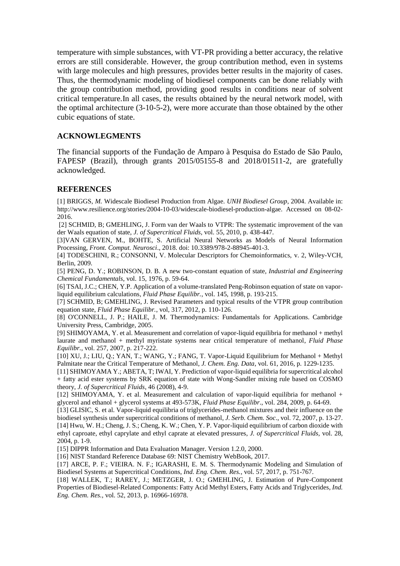temperature with simple substances, with VT-PR providing a better accuracy, the relative errors are still considerable. However, the group contribution method, even in systems with large molecules and high pressures, provides better results in the majority of cases. Thus, the thermodynamic modeling of biodiesel components can be done reliably with the group contribution method, providing good results in conditions near of solvent critical temperature.In all cases, the results obtained by the neural network model, with the optimal architecture (3-10-5-2), were more accurate than those obtained by the other cubic equations of state.

#### **ACKNOWLEGMENTS**

The financial supports of the Fundação de Amparo à Pesquisa do Estado de São Paulo, FAPESP (Brazil), through grants 2015/05155-8 and 2018/01511-2, are gratefully acknowledged.

### **REFERENCES**

[1] BRIGGS, *M.* [Widescale Biodiesel Production from Algae](http://www.unh.edu/p2/biodiesel/article_alge.html)*. UNH Biodiesel Group*, 2004. Available in: [http://www.resilience.org/stories/2004-10-03/widescale-biodiesel-production-algae.](http://www.resilience.org/stories/2004-10-03/widescale-biodiesel-production-algae) Accessed on 08-02- 2016.

[2] SCHMID, B; GMEHLING, J. Form van der Waals to VTPR: The systematic improvement of the van der Waals equation of state, *J. of Supercritical Fluids*, vol. 55, 2010, p. 438-447.

[3]VAN GERVEN, M., BOHTE, S. Artificial Neural Networks as Models of Neural Information Processing, *Front. Comput. Neurosci*., 2018. doi: 10.3389/978-2-88945-401-3.

[4] TODESCHINI, R.; CONSONNI, V. Molecular Descriptors for Chemoinformatics, v. 2, Wiley-VCH, Berlin, 2009.

[5] PENG, D. Y.; ROBINSON, D. B. A new two-constant equation of state, *Industrial and Engineering Chemical Fundamentals*, vol. 15, 1976, p. 59-64.

[6] TSAI, J.C.; CHEN, Y.P. Application of a volume-translated Peng-Robinson equation of state on vaporliquid equilibrium calculations, *Fluid Phase Equilibr.*, vol. 145, 1998, p. 193-215.

[7] SCHMID, B; GMEHLING, J. Revised Parameters and typical results of the VTPR group contribution equation state, *Fluid Phase Equilibr.*, vol, 317, 2012, p. 110-126.

[8] O'CONNELL, J. P.; HAILE, J. M. Thermodynamics: Fundamentals for Applications. Cambridge University Press, Cambridge, 2005.

[9] SHIMOYAMA, Y. et al. Measurement and correlation of vapor-liquid equilibria for methanol + methyl laurate and methanol + methyl myristate systems near critical temperature of methanol, *Fluid Phase Equilibr.*, vol. 257, 2007, p. 217-222.

[10] XU, J.; LIU, Q.; YAN, T.; WANG, Y.; FANG, T. Vapor-Liquid Equilibrium for Methanol + Methyl Palmitate near the Critical Temperature of Methanol, *J. Chem. Eng. Data*, vol. 61, 2016, p. 1229-1235.

[11] SHIMOYAMA Y.; ABETA, T; IWAI, Y. Prediction of vapor-liquid equilibria for supercritical alcohol + fatty acid ester systems by SRK equation of state with Wong-Sandler mixing rule based on COSMO theory, *J. of Supercritical Fluids*, 46 (2008), 4-9.

[12] SHIMOYAMA, Y. et al. Measurement and calculation of vapor-liquid equilibria for methanol + glycerol and ethanol + glycerol systems at 493-573K, *Fluid Phase Equilibr*., vol. 284, 2009, p. 64-69.

[13] GLISIC, S. et al. Vapor-liquid equilibria of triglycerides-methanol mixtures and their influence on the biodiesel synthesis under supercritical conditions of methanol, *J. Serb. Chem. Soc*., vol. 72, 2007, p. 13-27. [14] Hwu, W. H.; Cheng, J. S.; Cheng, K. W.; Chen, Y. P. Vapor-liquid equilibrium of carbon dioxide with ethyl caproate, ethyl caprylate and ethyl caprate at elevated pressures, *J. of Supercritical Fluids*, vol. 28, 2004, p. 1-9.

[15] DIPPR Information and Data Evaluation Manager. Version 1.2.0, 2000.

[16] NIST Standard Reference Database 69: NIST Chemistry WebBook, 2017.

[17] ARCE, P. F.; VIEIRA. N. F.; IGARASHI, E. M. S. Thermodynamic Modeling and Simulation of Biodiesel Systems at Supercritical Conditions, *Ind. Eng. Chem. Res.*, vol. 57, 2017, p. 751-767.

[18] WALLEK, T.; RAREY, J.; METZGER, J. O.; GMEHLING, J. Estimation of Pure-Component Properties of Biodiesel-Related Components: Fatty Acid Methyl Esters, Fatty Acids and Triglycerides, *Ind. Eng. Chem. Res.*, vol. 52, 2013, p. 16966-16978.